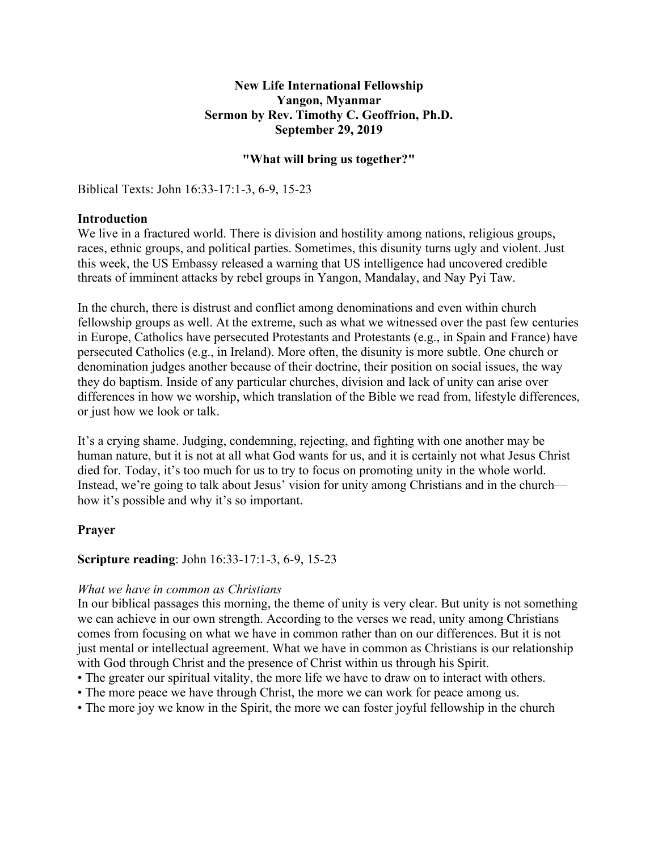### **New Life International Fellowship Yangon, Myanmar Sermon by Rev. Timothy C. Geoffrion, Ph.D. September 29, 2019**

### **"What will bring us together?"**

Biblical Texts: John 16:33-17:1-3, 6-9, 15-23

### **Introduction**

We live in a fractured world. There is division and hostility among nations, religious groups, races, ethnic groups, and political parties. Sometimes, this disunity turns ugly and violent. Just this week, the US Embassy released a warning that US intelligence had uncovered credible threats of imminent attacks by rebel groups in Yangon, Mandalay, and Nay Pyi Taw.

In the church, there is distrust and conflict among denominations and even within church fellowship groups as well. At the extreme, such as what we witnessed over the past few centuries in Europe, Catholics have persecuted Protestants and Protestants (e.g., in Spain and France) have persecuted Catholics (e.g., in Ireland). More often, the disunity is more subtle. One church or denomination judges another because of their doctrine, their position on social issues, the way they do baptism. Inside of any particular churches, division and lack of unity can arise over differences in how we worship, which translation of the Bible we read from, lifestyle differences, or just how we look or talk.

It's a crying shame. Judging, condemning, rejecting, and fighting with one another may be human nature, but it is not at all what God wants for us, and it is certainly not what Jesus Christ died for. Today, it's too much for us to try to focus on promoting unity in the whole world. Instead, we're going to talk about Jesus' vision for unity among Christians and in the church how it's possible and why it's so important.

### **Prayer**

### **Scripture reading**: John 16:33-17:1-3, 6-9, 15-23

#### *What we have in common as Christians*

In our biblical passages this morning, the theme of unity is very clear. But unity is not something we can achieve in our own strength. According to the verses we read, unity among Christians comes from focusing on what we have in common rather than on our differences. But it is not just mental or intellectual agreement. What we have in common as Christians is our relationship with God through Christ and the presence of Christ within us through his Spirit.

- The greater our spiritual vitality, the more life we have to draw on to interact with others.
- The more peace we have through Christ, the more we can work for peace among us.
- The more joy we know in the Spirit, the more we can foster joyful fellowship in the church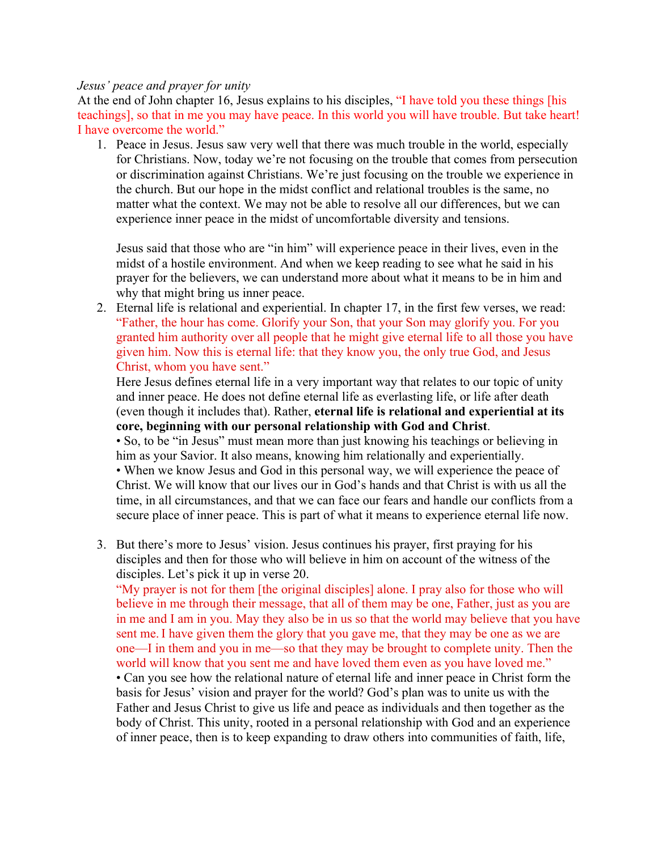### *Jesus' peace and prayer for unity*

At the end of John chapter 16, Jesus explains to his disciples, "I have told you these things [his teachings], so that in me you may have peace. In this world you will have trouble. But take heart! I have overcome the world."

1. Peace in Jesus. Jesus saw very well that there was much trouble in the world, especially for Christians. Now, today we're not focusing on the trouble that comes from persecution or discrimination against Christians. We're just focusing on the trouble we experience in the church. But our hope in the midst conflict and relational troubles is the same, no matter what the context. We may not be able to resolve all our differences, but we can experience inner peace in the midst of uncomfortable diversity and tensions.

Jesus said that those who are "in him" will experience peace in their lives, even in the midst of a hostile environment. And when we keep reading to see what he said in his prayer for the believers, we can understand more about what it means to be in him and why that might bring us inner peace.

2. Eternal life is relational and experiential. In chapter 17, in the first few verses, we read: "Father, the hour has come. Glorify your Son, that your Son may glorify you. For you granted him authority over all people that he might give eternal life to all those you have given him. Now this is eternal life: that they know you, the only true God, and Jesus Christ, whom you have sent."

Here Jesus defines eternal life in a very important way that relates to our topic of unity and inner peace. He does not define eternal life as everlasting life, or life after death (even though it includes that). Rather, **eternal life is relational and experiential at its core, beginning with our personal relationship with God and Christ**.

• So, to be "in Jesus" must mean more than just knowing his teachings or believing in him as your Savior. It also means, knowing him relationally and experientially. • When we know Jesus and God in this personal way, we will experience the peace of Christ. We will know that our lives our in God's hands and that Christ is with us all the time, in all circumstances, and that we can face our fears and handle our conflicts from a

secure place of inner peace. This is part of what it means to experience eternal life now.

3. But there's more to Jesus' vision. Jesus continues his prayer, first praying for his disciples and then for those who will believe in him on account of the witness of the disciples. Let's pick it up in verse 20.

"My prayer is not for them [the original disciples] alone. I pray also for those who will believe in me through their message, that all of them may be one, Father, just as you are in me and I am in you. May they also be in us so that the world may believe that you have sent me. I have given them the glory that you gave me, that they may be one as we are one—I in them and you in me—so that they may be brought to complete unity. Then the world will know that you sent me and have loved them even as you have loved me." • Can you see how the relational nature of eternal life and inner peace in Christ form the basis for Jesus' vision and prayer for the world? God's plan was to unite us with the Father and Jesus Christ to give us life and peace as individuals and then together as the body of Christ. This unity, rooted in a personal relationship with God and an experience of inner peace, then is to keep expanding to draw others into communities of faith, life,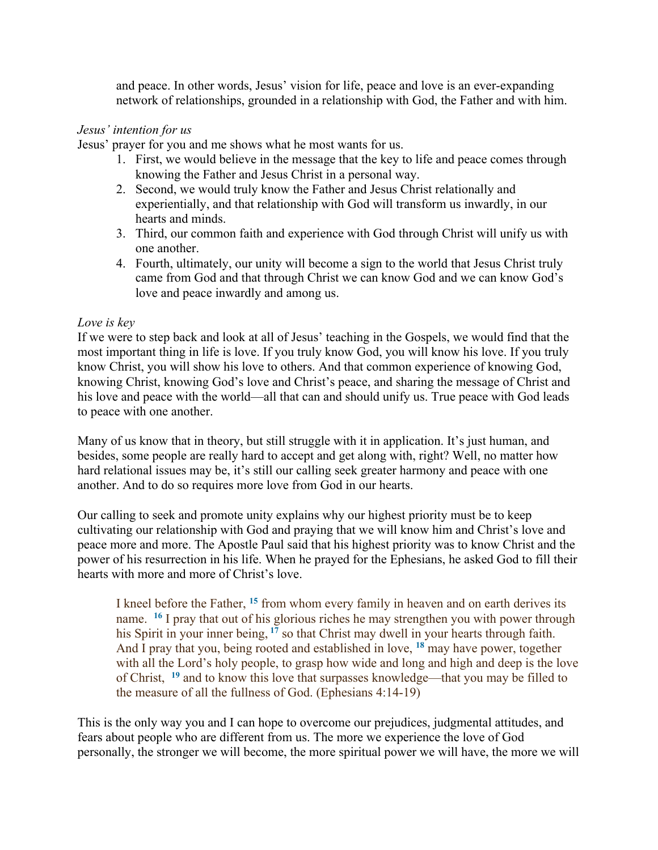and peace. In other words, Jesus' vision for life, peace and love is an ever-expanding network of relationships, grounded in a relationship with God, the Father and with him.

## *Jesus' intention for us*

Jesus' prayer for you and me shows what he most wants for us.

- 1. First, we would believe in the message that the key to life and peace comes through knowing the Father and Jesus Christ in a personal way.
- 2. Second, we would truly know the Father and Jesus Christ relationally and experientially, and that relationship with God will transform us inwardly, in our hearts and minds.
- 3. Third, our common faith and experience with God through Christ will unify us with one another.
- 4. Fourth, ultimately, our unity will become a sign to the world that Jesus Christ truly came from God and that through Christ we can know God and we can know God's love and peace inwardly and among us.

### *Love is key*

If we were to step back and look at all of Jesus' teaching in the Gospels, we would find that the most important thing in life is love. If you truly know God, you will know his love. If you truly know Christ, you will show his love to others. And that common experience of knowing God, knowing Christ, knowing God's love and Christ's peace, and sharing the message of Christ and his love and peace with the world—all that can and should unify us. True peace with God leads to peace with one another.

Many of us know that in theory, but still struggle with it in application. It's just human, and besides, some people are really hard to accept and get along with, right? Well, no matter how hard relational issues may be, it's still our calling seek greater harmony and peace with one another. And to do so requires more love from God in our hearts.

Our calling to seek and promote unity explains why our highest priority must be to keep cultivating our relationship with God and praying that we will know him and Christ's love and peace more and more. The Apostle Paul said that his highest priority was to know Christ and the power of his resurrection in his life. When he prayed for the Ephesians, he asked God to fill their hearts with more and more of Christ's love.

I kneel before the Father, **<sup>15</sup>** from whom every family in heaven and on earth derives its name. **<sup>16</sup>** I pray that out of his glorious riches he may strengthen you with power through his Spirit in your inner being, <sup>17</sup> so that Christ may dwell in your hearts through faith. And I pray that you, being rooted and established in love, **<sup>18</sup>** may have power, together with all the Lord's holy people, to grasp how wide and long and high and deep is the love of Christ, **<sup>19</sup>** and to know this love that surpasses knowledge—that you may be filled to the measure of all the fullness of God. (Ephesians 4:14-19)

This is the only way you and I can hope to overcome our prejudices, judgmental attitudes, and fears about people who are different from us. The more we experience the love of God personally, the stronger we will become, the more spiritual power we will have, the more we will